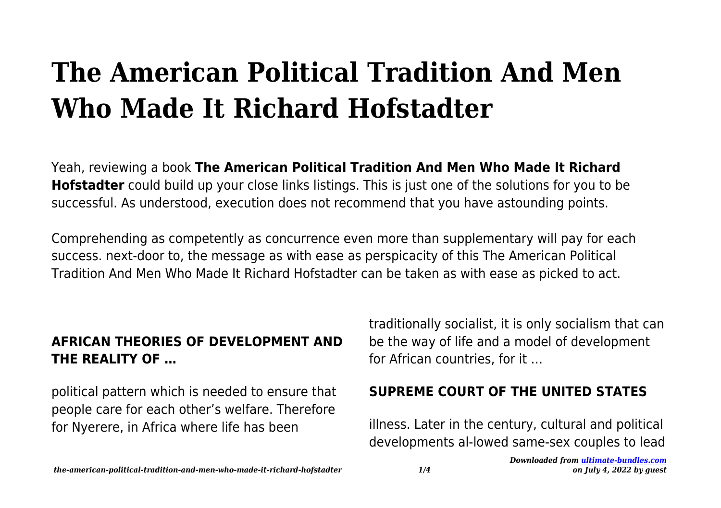# **The American Political Tradition And Men Who Made It Richard Hofstadter**

Yeah, reviewing a book **The American Political Tradition And Men Who Made It Richard Hofstadter** could build up your close links listings. This is just one of the solutions for you to be successful. As understood, execution does not recommend that you have astounding points.

Comprehending as competently as concurrence even more than supplementary will pay for each success. next-door to, the message as with ease as perspicacity of this The American Political Tradition And Men Who Made It Richard Hofstadter can be taken as with ease as picked to act.

### **AFRICAN THEORIES OF DEVELOPMENT AND THE REALITY OF …**

political pattern which is needed to ensure that people care for each other's welfare. Therefore for Nyerere, in Africa where life has been

traditionally socialist, it is only socialism that can be the way of life and a model of development for African countries, for it …

# **SUPREME COURT OF THE UNITED STATES**

illness. Later in the century, cultural and political developments al-lowed same-sex couples to lead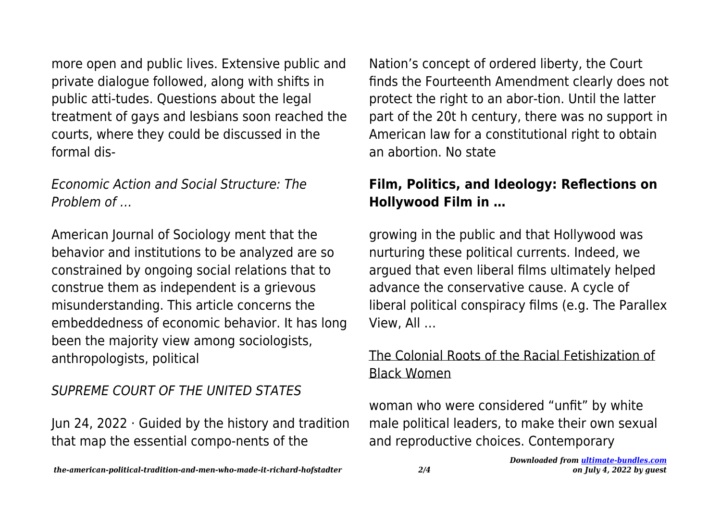more open and public lives. Extensive public and private dialogue followed, along with shifts in public atti-tudes. Questions about the legal treatment of gays and lesbians soon reached the courts, where they could be discussed in the formal dis-

### Economic Action and Social Structure: The Problem of …

American Journal of Sociology ment that the behavior and institutions to be analyzed are so constrained by ongoing social relations that to construe them as independent is a grievous misunderstanding. This article concerns the embeddedness of economic behavior. It has long been the majority view among sociologists, anthropologists, political

# SUPREME COURT OF THE UNITED STATES

Jun 24, 2022 · Guided by the history and tradition that map the essential compo-nents of the

Nation's concept of ordered liberty, the Court finds the Fourteenth Amendment clearly does not protect the right to an abor-tion. Until the latter part of the 20t h century, there was no support in American law for a constitutional right to obtain an abortion. No state

### **Film, Politics, and Ideology: Reflections on Hollywood Film in …**

growing in the public and that Hollywood was nurturing these political currents. Indeed, we argued that even liberal films ultimately helped advance the conservative cause. A cycle of liberal political conspiracy films (e.g. The Parallex View, All …

## The Colonial Roots of the Racial Fetishization of Black Women

woman who were considered "unfit" by white male political leaders, to make their own sexual and reproductive choices. Contemporary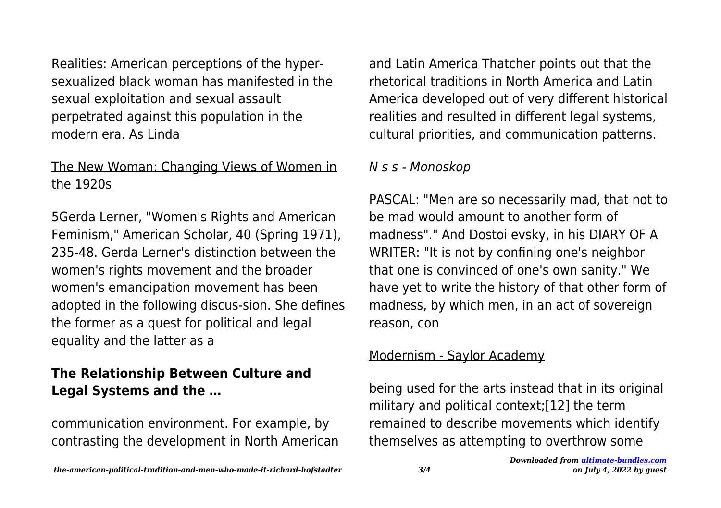Realities: American perceptions of the hypersexualized black woman has manifested in the sexual exploitation and sexual assault perpetrated against this population in the modern era. As Linda

# The New Woman: Changing Views of Women in the 1920s

5Gerda Lerner, "Women's Rights and American Feminism," American Scholar, 40 (Spring 1971), 235-48. Gerda Lerner's distinction between the women's rights movement and the broader women's emancipation movement has been adopted in the following discus-sion. She defines the former as a quest for political and legal equality and the latter as a

# **The Relationship Between Culture and Legal Systems and the …**

communication environment. For example, by contrasting the development in North American and Latin America Thatcher points out that the rhetorical traditions in North America and Latin America developed out of very different historical realities and resulted in different legal systems, cultural priorities, and communication patterns.

#### N s s - Monoskop

PASCAL: "Men are so necessarily mad, that not to be mad would amount to another form of madness"." And Dostoi evsky, in his DIARY OF A WRITER: "It is not by confining one's neighbor that one is convinced of one's own sanity." We have yet to write the history of that other form of madness, by which men, in an act of sovereign reason, con

#### Modernism - Saylor Academy

being used for the arts instead that in its original military and political context;[12] the term remained to describe movements which identify themselves as attempting to overthrow some